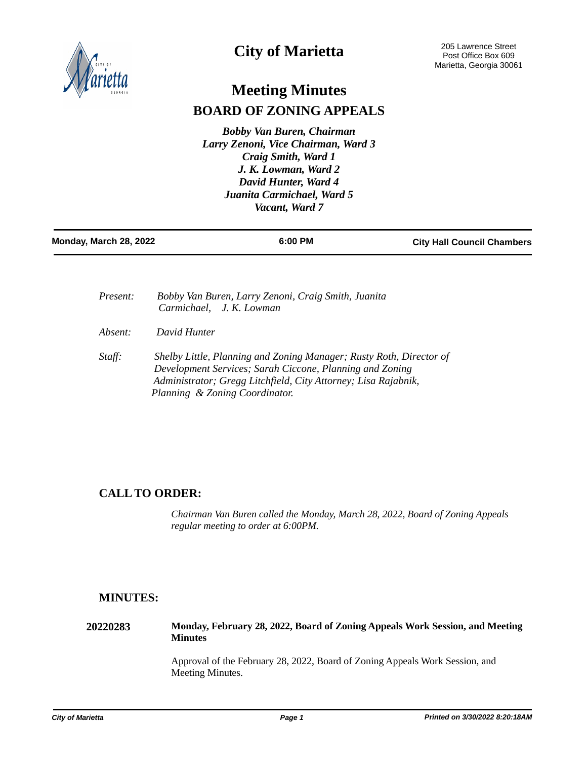

# **City of Marietta**

# **Meeting Minutes BOARD OF ZONING APPEALS**

*Bobby Van Buren, Chairman Larry Zenoni, Vice Chairman, Ward 3 Craig Smith, Ward 1 J. K. Lowman, Ward 2 David Hunter, Ward 4 Juanita Carmichael, Ward 5 Vacant, Ward 7* 

| Monday, March 28, 2022 | 6:00 PM | <b>City Hall Council Chambers</b> |
|------------------------|---------|-----------------------------------|
|                        |         |                                   |

| Present: | Bobby Van Buren, Larry Zenoni, Craig Smith, Juanita<br>Carmichael, J. K. Lowman                                                                                                                                                     |
|----------|-------------------------------------------------------------------------------------------------------------------------------------------------------------------------------------------------------------------------------------|
| Absent:  | David Hunter                                                                                                                                                                                                                        |
| Staff:   | Shelby Little, Planning and Zoning Manager; Rusty Roth, Director of<br>Development Services; Sarah Ciccone, Planning and Zoning<br>Administrator; Gregg Litchfield, City Attorney; Lisa Rajabnik,<br>Planning & Zoning Coordinator. |

# **CALL TO ORDER:**

*Chairman Van Buren called the Monday, March 28, 2022, Board of Zoning Appeals regular meeting to order at 6:00PM.*

# **MINUTES:**

**20220283 Monday, February 28, 2022, Board of Zoning Appeals Work Session, and Meeting Minutes**

> Approval of the February 28, 2022, Board of Zoning Appeals Work Session, and Meeting Minutes.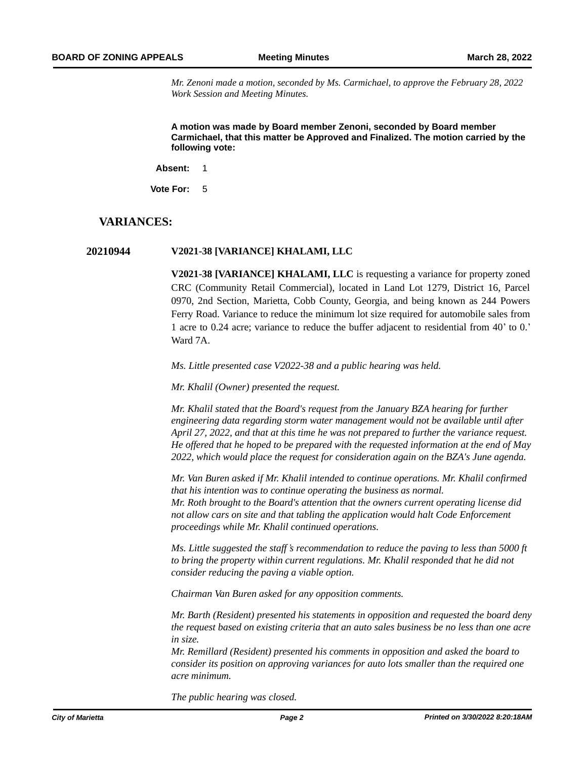*Mr. Zenoni made a motion, seconded by Ms. Carmichael, to approve the February 28, 2022 Work Session and Meeting Minutes.* 

**A motion was made by Board member Zenoni, seconded by Board member Carmichael, that this matter be Approved and Finalized. The motion carried by the following vote:**

**Absent:** 1

**Vote For:** 5

## **VARIANCES:**

### **20210944 V2021-38 [VARIANCE] KHALAMI, LLC**

**V2021-38 [VARIANCE] KHALAMI, LLC** is requesting a variance for property zoned CRC (Community Retail Commercial), located in Land Lot 1279, District 16, Parcel 0970, 2nd Section, Marietta, Cobb County, Georgia, and being known as 244 Powers Ferry Road. Variance to reduce the minimum lot size required for automobile sales from 1 acre to 0.24 acre; variance to reduce the buffer adjacent to residential from 40' to 0.' Ward 7A.

*Ms. Little presented case V2022-38 and a public hearing was held.*

*Mr. Khalil (Owner) presented the request.* 

*Mr. Khalil stated that the Board's request from the January BZA hearing for further engineering data regarding storm water management would not be available until after April 27, 2022, and that at this time he was not prepared to further the variance request. He offered that he hoped to be prepared with the requested information at the end of May 2022, which would place the request for consideration again on the BZA's June agenda.*

*Mr. Van Buren asked if Mr. Khalil intended to continue operations. Mr. Khalil confirmed that his intention was to continue operating the business as normal. Mr. Roth brought to the Board's attention that the owners current operating license did not allow cars on site and that tabling the application would halt Code Enforcement proceedings while Mr. Khalil continued operations.* 

*Ms. Little suggested the staff's recommendation to reduce the paving to less than 5000 ft to bring the property within current regulations. Mr. Khalil responded that he did not consider reducing the paving a viable option.*

*Chairman Van Buren asked for any opposition comments.*

*Mr. Barth (Resident) presented his statements in opposition and requested the board deny the request based on existing criteria that an auto sales business be no less than one acre in size.*

*Mr. Remillard (Resident) presented his comments in opposition and asked the board to consider its position on approving variances for auto lots smaller than the required one acre minimum.* 

*The public hearing was closed.*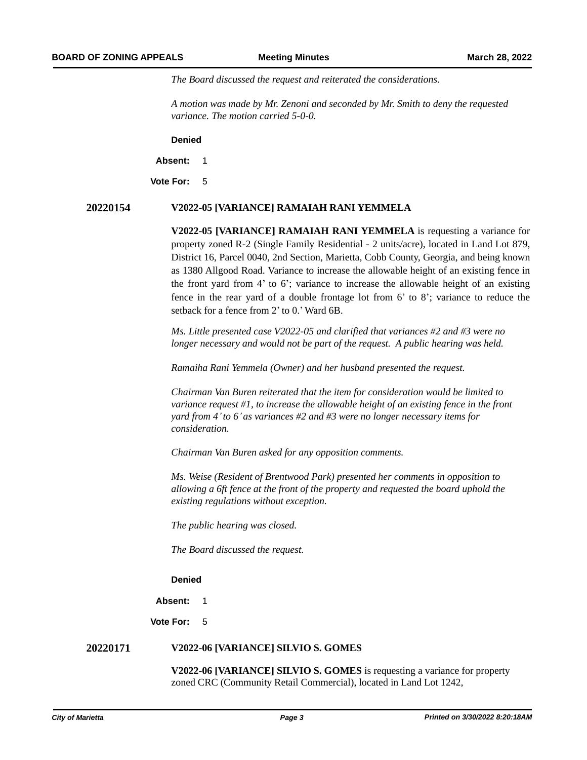*The Board discussed the request and reiterated the considerations.* 

*A motion was made by Mr. Zenoni and seconded by Mr. Smith to deny the requested variance. The motion carried 5-0-0.*

**Denied**

**Absent:** 1

**Vote For:** 5

#### **20220154 V2022-05 [VARIANCE] RAMAIAH RANI YEMMELA**

**V2022-05 [VARIANCE] RAMAIAH RANI YEMMELA** is requesting a variance for property zoned R-2 (Single Family Residential - 2 units/acre), located in Land Lot 879, District 16, Parcel 0040, 2nd Section, Marietta, Cobb County, Georgia, and being known as 1380 Allgood Road. Variance to increase the allowable height of an existing fence in the front yard from 4' to 6'; variance to increase the allowable height of an existing fence in the rear yard of a double frontage lot from 6' to 8'; variance to reduce the setback for a fence from 2' to 0.'Ward 6B.

*Ms. Little presented case V2022-05 and clarified that variances #2 and #3 were no longer necessary and would not be part of the request. A public hearing was held.*

*Ramaiha Rani Yemmela (Owner) and her husband presented the request.* 

*Chairman Van Buren reiterated that the item for consideration would be limited to variance request #1, to increase the allowable height of an existing fence in the front yard from 4'to 6' as variances #2 and #3 were no longer necessary items for consideration.* 

*Chairman Van Buren asked for any opposition comments.*

*Ms. Weise (Resident of Brentwood Park) presented her comments in opposition to allowing a 6ft fence at the front of the property and requested the board uphold the existing regulations without exception.* 

*The public hearing was closed.* 

*The Board discussed the request.*

### *A motion was made by Chairman Van Buren, and seconded by Mr. Lowman, to deny the requested variance. The motion carried 5-0-0.* **Denied**

**Absent:** 1

**Vote For:** 5

#### **20220171 V2022-06 [VARIANCE] SILVIO S. GOMES**

**V2022-06 [VARIANCE] SILVIO S. GOMES** is requesting a variance for property zoned CRC (Community Retail Commercial), located in Land Lot 1242,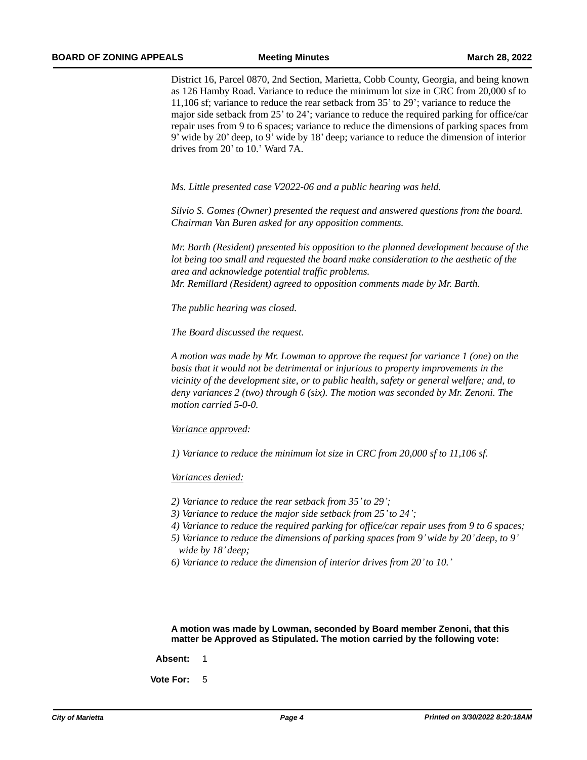District 16, Parcel 0870, 2nd Section, Marietta, Cobb County, Georgia, and being known as 126 Hamby Road. Variance to reduce the minimum lot size in CRC from 20,000 sf to 11,106 sf; variance to reduce the rear setback from 35' to 29'; variance to reduce the major side setback from 25' to 24'; variance to reduce the required parking for office/car repair uses from 9 to 6 spaces; variance to reduce the dimensions of parking spaces from 9' wide by 20' deep, to 9' wide by 18' deep; variance to reduce the dimension of interior drives from 20' to 10.' Ward 7A.

*Ms. Little presented case V2022-06 and a public hearing was held.* 

*Silvio S. Gomes (Owner) presented the request and answered questions from the board. Chairman Van Buren asked for any opposition comments.* 

*Mr. Barth (Resident) presented his opposition to the planned development because of the lot being too small and requested the board make consideration to the aesthetic of the area and acknowledge potential traffic problems. Mr. Remillard (Resident) agreed to opposition comments made by Mr. Barth.*

*The public hearing was closed.* 

*The Board discussed the request.*

*A motion was made by Mr. Lowman to approve the request for variance 1 (one) on the basis that it would not be detrimental or injurious to property improvements in the vicinity of the development site, or to public health, safety or general welfare; and, to deny variances 2 (two) through 6 (six). The motion was seconded by Mr. Zenoni. The motion carried 5-0-0.* 

#### *Variance approved:*

*1) Variance to reduce the minimum lot size in CRC from 20,000 sf to 11,106 sf.*

#### *Variances denied:*

- *2) Variance to reduce the rear setback from 35'to 29';*
- *3) Variance to reduce the major side setback from 25'to 24';*
- *4) Variance to reduce the required parking for office/car repair uses from 9 to 6 spaces;*
- *5) Variance to reduce the dimensions of parking spaces from 9'wide by 20' deep, to 9' wide by 18' deep;*
- *6) Variance to reduce the dimension of interior drives from 20'to 10.'*

**A motion was made by Lowman, seconded by Board member Zenoni, that this matter be Approved as Stipulated. The motion carried by the following vote:**

- **Absent:** 1
- **Vote For:** 5